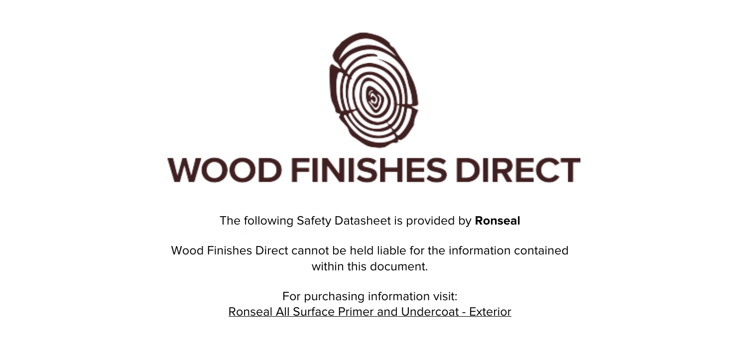

The following Safety Datasheet is provided by **Ronseal**

Wood Finishes Direct cannot be held liable for the information contained within this document

> For purchasing information visit: [Ronseal All Surface Primer and Undercoat - Exterior](https://www.wood-finishes-direct.com/product/ronseal-all-surface-primer-and-undercoat-exterior)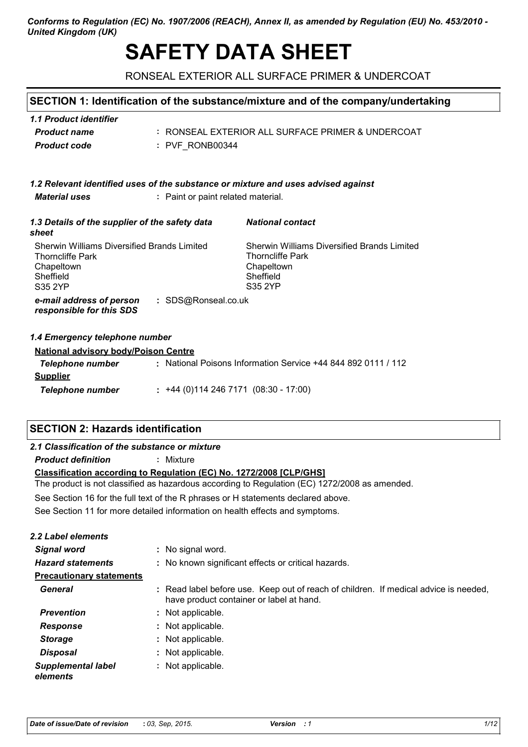#### Conforms to Regulation (EC) No. 1907/2006 (REACH), Annex II, as amended by Regulation (EU) No. 453/2010 -**United Kingdom (UK)**

# **SAFETY DATA SHEET**

RONSEAL EXTERIOR ALL SURFACE PRIMER & UNDERCOAT

### SECTION 1: Identification of the substance/mixture and of the company/undertaking

| 1.1 Product identifier |                                                   |
|------------------------|---------------------------------------------------|
| <b>Product name</b>    | : RONSEAL EXTERIOR ALL SURFACE PRIMER & UNDERCOAT |
| Product code           | : PVF RONB00344                                   |

#### 1.2 Relevant identified uses of the substance or mixture and uses advised against **Material uses** : Paint or paint related material.

| 1.3 Details of the supplier of the safety data<br>sheet                                                                                          | <b>National contact</b>                                                                               |
|--------------------------------------------------------------------------------------------------------------------------------------------------|-------------------------------------------------------------------------------------------------------|
| <b>Sherwin Williams Diversified Brands Limited</b><br><b>Thorncliffe Park</b><br>Chapeltown<br>Sheffield<br>S35 2YP                              | Sherwin Williams Diversified Brands Limited<br>Thorncliffe Park<br>Chapeltown<br>Sheffield<br>S35 2YP |
| : SDS@Ronseal.co.uk<br>e-mail address of person<br>responsible for this SDS                                                                      |                                                                                                       |
| 1.4 Emergency telephone number<br>All about the short computer of the form of the control of the state of the state of the state of the state of |                                                                                                       |

| National advisory body/Poison Centre |                                                               |
|--------------------------------------|---------------------------------------------------------------|
| Telephone number                     | : National Poisons Information Service +44 844 892 0111 / 112 |
| <b>Supplier</b>                      |                                                               |
| Telephone number                     | $\div$ +44 (0)114 246 7171 (08:30 - 17:00)                    |

## **SECTION 2: Hazards identification**

#### 2.1 Classification of the substance or mixture

**Product definition** : Mixture

#### Classification according to Regulation (EC) No. 1272/2008 [CLP/GHS]

The product is not classified as hazardous according to Regulation (EC) 1272/2008 as amended.

See Section 16 for the full text of the R phrases or H statements declared above.

See Section 11 for more detailed information on health effects and symptoms.

| <b>2.2 Label elements</b>             |                                                                                                                                  |
|---------------------------------------|----------------------------------------------------------------------------------------------------------------------------------|
| <b>Signal word</b>                    | : No signal word.                                                                                                                |
| <b>Hazard statements</b>              | : No known significant effects or critical hazards.                                                                              |
| <b>Precautionary statements</b>       |                                                                                                                                  |
| General                               | : Read label before use. Keep out of reach of children. If medical advice is needed,<br>have product container or label at hand. |
| <b>Prevention</b>                     | : Not applicable.                                                                                                                |
| <b>Response</b>                       | : Not applicable.                                                                                                                |
| <b>Storage</b>                        | : Not applicable.                                                                                                                |
| <b>Disposal</b>                       | : Not applicable.                                                                                                                |
| <b>Supplemental label</b><br>elements | : Not applicable.                                                                                                                |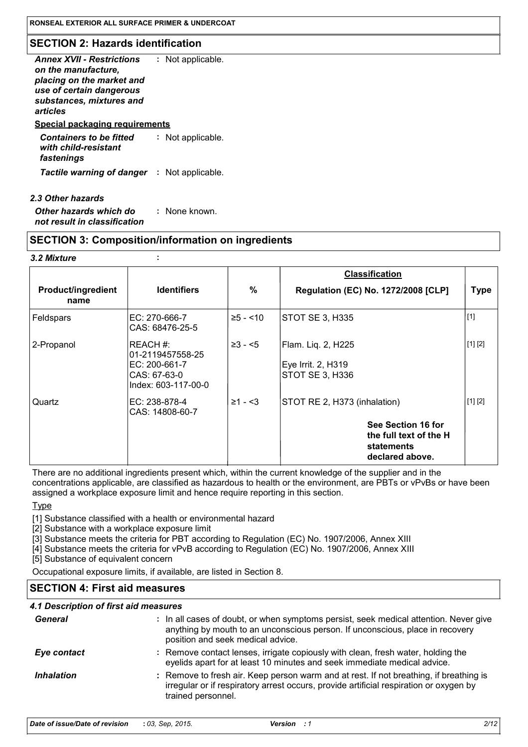### **SECTION 2: Hazards identification**

| <b>Annex XVII - Restrictions</b><br>on the manufacture.<br>placing on the market and<br>use of certain dangerous<br>substances, mixtures and<br>articles | : Not applicable. |
|----------------------------------------------------------------------------------------------------------------------------------------------------------|-------------------|
| <b>Special packaging requirements</b>                                                                                                                    |                   |
| <b>Containers to be fitted</b><br>with child-resistant<br>fastenings                                                                                     | Not applicable.   |
| <b>Tactile warning of danger : Not applicable.</b>                                                                                                       |                   |

| 2.3 Other hazards                                      |               |
|--------------------------------------------------------|---------------|
| Other hazards which do<br>not result in classification | : None known. |

#### **SECTION 3: Composition/information on ingredients**

 $\ddot{\phantom{a}}$ 

#### 3.2 Mixture

|                            |                                                                                       |              | <b>Classification</b>                                                         |             |
|----------------------------|---------------------------------------------------------------------------------------|--------------|-------------------------------------------------------------------------------|-------------|
| Product/ingredient<br>name | <b>Identifiers</b>                                                                    | %            | <b>Regulation (EC) No. 1272/2008 [CLP]</b>                                    | <b>Type</b> |
| Feldspars                  | EC: 270-666-7<br>CAS: 68476-25-5                                                      | $≥5 - < 10$  | STOT SE 3, H335                                                               | $[1]$       |
| 2-Propanol                 | IREACH #:<br>01-2119457558-25<br>EC: 200-661-7<br>CAS: 67-63-0<br>Index: 603-117-00-0 | $\geq 3 - 5$ | Flam. Liq. 2, H225<br>Eye Irrit. 2, H319<br><b>STOT SE 3, H336</b>            | [1] [2]     |
| Quartz                     | EC: 238-878-4<br>CAS: 14808-60-7                                                      | $≥1 - 53$    | STOT RE 2, H373 (inhalation)                                                  | [1] [2]     |
|                            |                                                                                       |              | See Section 16 for<br>the full text of the H<br>statements<br>declared above. |             |

There are no additional ingredients present which, within the current knowledge of the supplier and in the concentrations applicable, are classified as hazardous to health or the environment, are PBTs or vPvBs or have been assigned a workplace exposure limit and hence require reporting in this section.

**Type** 

[1] Substance classified with a health or environmental hazard

[2] Substance with a workplace exposure limit

[3] Substance meets the criteria for PBT according to Regulation (EC) No. 1907/2006, Annex XIII

[4] Substance meets the criteria for vPvB according to Regulation (EC) No. 1907/2006, Annex XIII

[5] Substance of equivalent concern

Occupational exposure limits, if available, are listed in Section 8.

## **SECTION 4: First aid measures**

## 4.1 Description of first aid measures

| General           | : In all cases of doubt, or when symptoms persist, seek medical attention. Never give<br>anything by mouth to an unconscious person. If unconscious, place in recovery<br>position and seek medical advice. |
|-------------------|-------------------------------------------------------------------------------------------------------------------------------------------------------------------------------------------------------------|
| Eye contact       | : Remove contact lenses, irrigate copiously with clean, fresh water, holding the<br>eyelids apart for at least 10 minutes and seek immediate medical advice.                                                |
| <b>Inhalation</b> | : Remove to fresh air. Keep person warm and at rest. If not breathing, if breathing is<br>irregular or if respiratory arrest occurs, provide artificial respiration or oxygen by<br>trained personnel.      |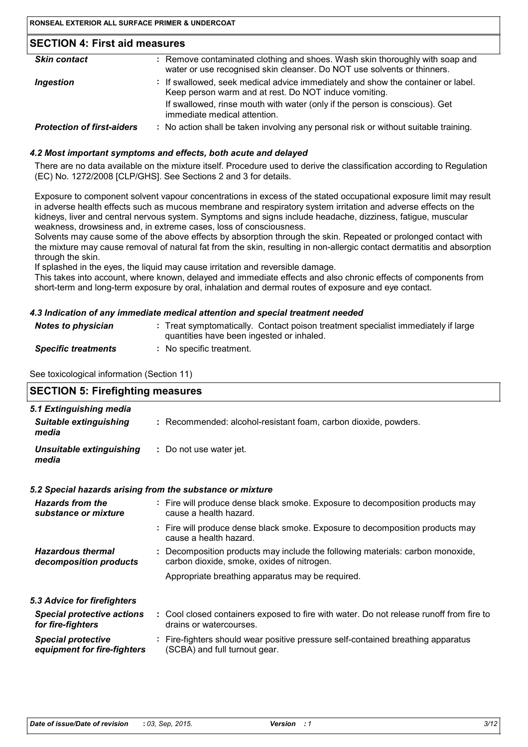| <b>Skin contact</b>               | : Remove contaminated clothing and shoes. Wash skin thoroughly with soap and<br>water or use recognised skin cleanser. Do NOT use solvents or thinners. |
|-----------------------------------|---------------------------------------------------------------------------------------------------------------------------------------------------------|
| <b>Ingestion</b>                  | : If swallowed, seek medical advice immediately and show the container or label.<br>Keep person warm and at rest. Do NOT induce vomiting.               |
|                                   | If swallowed, rinse mouth with water (only if the person is conscious). Get<br>immediate medical attention.                                             |
| <b>Protection of first-aiders</b> | : No action shall be taken involving any personal risk or without suitable training.                                                                    |

#### 4.2 Most important symptoms and effects, both acute and delayed

There are no data available on the mixture itself. Procedure used to derive the classification according to Regulation (EC) No. 1272/2008 [CLP/GHS]. See Sections 2 and 3 for details.

Exposure to component solvent vapour concentrations in excess of the stated occupational exposure limit may result in adverse health effects such as mucous membrane and respiratory system irritation and adverse effects on the kidneys, liver and central nervous system. Symptoms and signs include headache, dizziness, fatique, muscular weakness, drowsiness and, in extreme cases, loss of consciousness.

Solvents may cause some of the above effects by absorption through the skin. Repeated or prolonged contact with the mixture may cause removal of natural fat from the skin, resulting in non-allergic contact dermatitis and absorption through the skin.

If splashed in the eyes, the liquid may cause irritation and reversible damage.

This takes into account, where known, delayed and immediate effects and also chronic effects of components from short-term and long-term exposure by oral, inhalation and dermal routes of exposure and eye contact.

#### 4.3 Indication of any immediate medical attention and special treatment needed

| <b>Notes to physician</b>  | : Treat symptomatically. Contact poison treatment specialist immediately if large<br>quantities have been ingested or inhaled. |
|----------------------------|--------------------------------------------------------------------------------------------------------------------------------|
| <b>Specific treatments</b> | No specific treatment.                                                                                                         |

See toxicological information (Section 11)

| <b>SECTION 5: Firefighting measures</b>                           |  |                                                                                                                              |
|-------------------------------------------------------------------|--|------------------------------------------------------------------------------------------------------------------------------|
| 5.1 Extinguishing media<br><b>Suitable extinguishing</b><br>media |  | : Recommended: alcohol-resistant foam, carbon dioxide, powders.                                                              |
| <b>Unsuitable extinguishing</b><br>media                          |  | : Do not use water jet.                                                                                                      |
| 5.2 Special hazards arising from the substance or mixture         |  |                                                                                                                              |
| <b>Hazards from the</b><br>substance or mixture                   |  | : Fire will produce dense black smoke. Exposure to decomposition products may<br>cause a health hazard.                      |
|                                                                   |  | : Fire will produce dense black smoke. Exposure to decomposition products may<br>cause a health hazard.                      |
| <b>Hazardous thermal</b><br>decomposition products                |  | : Decomposition products may include the following materials: carbon monoxide,<br>carbon dioxide, smoke, oxides of nitrogen. |
|                                                                   |  | Appropriate breathing apparatus may be required.                                                                             |
| 5.3 Advice for firefighters                                       |  |                                                                                                                              |
| <b>Special protective actions</b><br>for fire-fighters            |  | : Cool closed containers exposed to fire with water. Do not release runoff from fire to<br>drains or watercourses.           |
| <b>Special protective</b><br>equipment for fire-fighters          |  | : Fire-fighters should wear positive pressure self-contained breathing apparatus<br>(SCBA) and full turnout gear.            |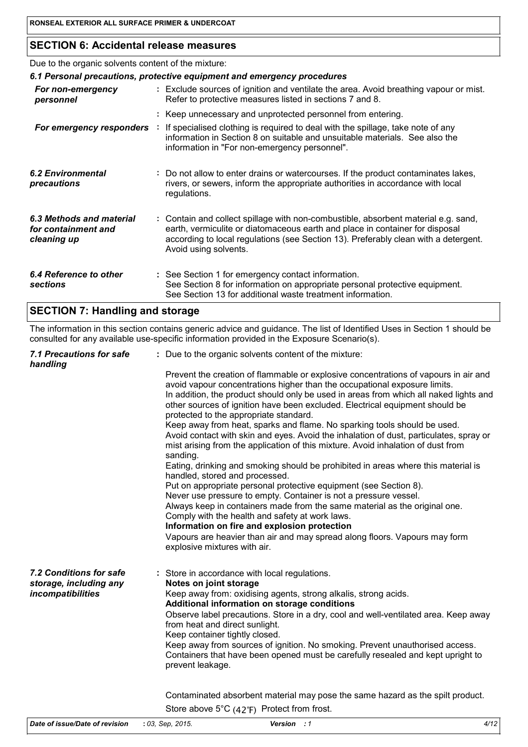## **SECTION 6: Accidental release measures**

Due to the organic solvents content of the mixture:

| 6.1 Personal precautions, protective equipment and emergency procedures |  |                                                                                                                                                                                                                                                                                    |
|-------------------------------------------------------------------------|--|------------------------------------------------------------------------------------------------------------------------------------------------------------------------------------------------------------------------------------------------------------------------------------|
| For non-emergency<br>personnel                                          |  | : Exclude sources of ignition and ventilate the area. Avoid breathing vapour or mist.<br>Refer to protective measures listed in sections 7 and 8.                                                                                                                                  |
|                                                                         |  | : Keep unnecessary and unprotected personnel from entering.                                                                                                                                                                                                                        |
| For emergency responders                                                |  | : If specialised clothing is required to deal with the spillage, take note of any<br>information in Section 8 on suitable and unsuitable materials. See also the<br>information in "For non-emergency personnel".                                                                  |
| 6.2 Environmental<br>precautions                                        |  | : Do not allow to enter drains or watercourses. If the product contaminates lakes,<br>rivers, or sewers, inform the appropriate authorities in accordance with local<br>regulations.                                                                                               |
| 6.3 Methods and material<br>for containment and<br>cleaning up          |  | : Contain and collect spillage with non-combustible, absorbent material e.g. sand,<br>earth, vermiculite or diatomaceous earth and place in container for disposal<br>according to local regulations (see Section 13). Preferably clean with a detergent.<br>Avoid using solvents. |
| 6.4 Reference to other<br>sections                                      |  | : See Section 1 for emergency contact information.<br>See Section 8 for information on appropriate personal protective equipment.<br>See Section 13 for additional waste treatment information.                                                                                    |

## **SECTION 7: Handling and storage**

The information in this section contains generic advice and guidance. The list of Identified Uses in Section 1 should be consulted for any available use-specific information provided in the Exposure Scenario(s).

| 7.1 Precautions for safe<br>handling                                   | : Due to the organic solvents content of the mixture:                                                                                                                                                                                                                                                                                                                                                                                                                                                                                                                                                                                                                                                                                                                                                                                                                                                                                                                                                                                                                                                                                                                                                                    |
|------------------------------------------------------------------------|--------------------------------------------------------------------------------------------------------------------------------------------------------------------------------------------------------------------------------------------------------------------------------------------------------------------------------------------------------------------------------------------------------------------------------------------------------------------------------------------------------------------------------------------------------------------------------------------------------------------------------------------------------------------------------------------------------------------------------------------------------------------------------------------------------------------------------------------------------------------------------------------------------------------------------------------------------------------------------------------------------------------------------------------------------------------------------------------------------------------------------------------------------------------------------------------------------------------------|
|                                                                        | Prevent the creation of flammable or explosive concentrations of vapours in air and<br>avoid vapour concentrations higher than the occupational exposure limits.<br>In addition, the product should only be used in areas from which all naked lights and<br>other sources of ignition have been excluded. Electrical equipment should be<br>protected to the appropriate standard.<br>Keep away from heat, sparks and flame. No sparking tools should be used.<br>Avoid contact with skin and eyes. Avoid the inhalation of dust, particulates, spray or<br>mist arising from the application of this mixture. Avoid inhalation of dust from<br>sanding.<br>Eating, drinking and smoking should be prohibited in areas where this material is<br>handled, stored and processed.<br>Put on appropriate personal protective equipment (see Section 8).<br>Never use pressure to empty. Container is not a pressure vessel.<br>Always keep in containers made from the same material as the original one.<br>Comply with the health and safety at work laws.<br>Information on fire and explosion protection<br>Vapours are heavier than air and may spread along floors. Vapours may form<br>explosive mixtures with air. |
| 7.2 Conditions for safe<br>storage, including any<br>incompatibilities | : Store in accordance with local regulations.<br>Notes on joint storage<br>Keep away from: oxidising agents, strong alkalis, strong acids.<br>Additional information on storage conditions<br>Observe label precautions. Store in a dry, cool and well-ventilated area. Keep away<br>from heat and direct sunlight.<br>Keep container tightly closed.<br>Keep away from sources of ignition. No smoking. Prevent unauthorised access.<br>Containers that have been opened must be carefully resealed and kept upright to<br>prevent leakage.                                                                                                                                                                                                                                                                                                                                                                                                                                                                                                                                                                                                                                                                             |
|                                                                        | Contaminated absorbent material may pose the same hazard as the spilt product.<br>Store above $5^{\circ}C$ (42 $^{\circ}F$ ) Protect from frost.                                                                                                                                                                                                                                                                                                                                                                                                                                                                                                                                                                                                                                                                                                                                                                                                                                                                                                                                                                                                                                                                         |

| Date of issue/Date of revision | : 03, Sep, 2015. | <b>Version</b> : 1 |
|--------------------------------|------------------|--------------------|
|                                |                  |                    |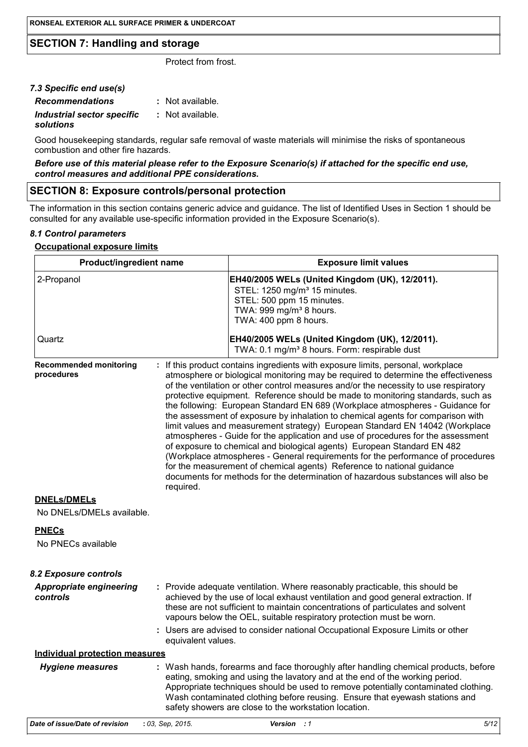## **SECTION 7: Handling and storage**

Protect from frost.

| 7.3 Specific end use(s)    |                  |
|----------------------------|------------------|
| <b>Recommendations</b>     | : Not available. |
| Industrial sector specific | : Not available. |
| solutions                  |                  |

Good housekeeping standards, regular safe removal of waste materials will minimise the risks of spontaneous combustion and other fire hazards.

#### Before use of this material please refer to the Exposure Scenario(s) if attached for the specific end use, control measures and additional PPE considerations.

### **SECTION 8: Exposure controls/personal protection**

The information in this section contains generic advice and guidance. The list of Identified Uses in Section 1 should be consulted for any available use-specific information provided in the Exposure Scenario(s).

#### 8.1 Control parameters

#### **Occupational exposure limits**

| Product/ingredient name                         |                    | <b>Exposure limit values</b>                                                                                                                                                                                                                                                                                                                                                                                                                                                                                                                                                                                                                                                                                                                                                                                                                                                                                                                                                                                          |
|-------------------------------------------------|--------------------|-----------------------------------------------------------------------------------------------------------------------------------------------------------------------------------------------------------------------------------------------------------------------------------------------------------------------------------------------------------------------------------------------------------------------------------------------------------------------------------------------------------------------------------------------------------------------------------------------------------------------------------------------------------------------------------------------------------------------------------------------------------------------------------------------------------------------------------------------------------------------------------------------------------------------------------------------------------------------------------------------------------------------|
| 2-Propanol                                      |                    | EH40/2005 WELs (United Kingdom (UK), 12/2011).<br>STEL: 1250 mg/m <sup>3</sup> 15 minutes.<br>STEL: 500 ppm 15 minutes.<br>TWA: 999 mg/m <sup>3</sup> 8 hours.<br>TWA: 400 ppm 8 hours.                                                                                                                                                                                                                                                                                                                                                                                                                                                                                                                                                                                                                                                                                                                                                                                                                               |
| Quartz                                          |                    | EH40/2005 WELs (United Kingdom (UK), 12/2011).<br>TWA: 0.1 mg/m <sup>3</sup> 8 hours. Form: respirable dust                                                                                                                                                                                                                                                                                                                                                                                                                                                                                                                                                                                                                                                                                                                                                                                                                                                                                                           |
| <b>Recommended monitoring</b><br>procedures     | required.          | : If this product contains ingredients with exposure limits, personal, workplace<br>atmosphere or biological monitoring may be required to determine the effectiveness<br>of the ventilation or other control measures and/or the necessity to use respiratory<br>protective equipment. Reference should be made to monitoring standards, such as<br>the following: European Standard EN 689 (Workplace atmospheres - Guidance for<br>the assessment of exposure by inhalation to chemical agents for comparison with<br>limit values and measurement strategy) European Standard EN 14042 (Workplace<br>atmospheres - Guide for the application and use of procedures for the assessment<br>of exposure to chemical and biological agents) European Standard EN 482<br>(Workplace atmospheres - General requirements for the performance of procedures<br>for the measurement of chemical agents) Reference to national guidance<br>documents for methods for the determination of hazardous substances will also be |
| <b>DNELs/DMELs</b><br>No DNELs/DMELs available. |                    |                                                                                                                                                                                                                                                                                                                                                                                                                                                                                                                                                                                                                                                                                                                                                                                                                                                                                                                                                                                                                       |
| <b>PNECs</b><br>No PNECs available              |                    |                                                                                                                                                                                                                                                                                                                                                                                                                                                                                                                                                                                                                                                                                                                                                                                                                                                                                                                                                                                                                       |
| <b>8.2 Exposure controls</b>                    |                    |                                                                                                                                                                                                                                                                                                                                                                                                                                                                                                                                                                                                                                                                                                                                                                                                                                                                                                                                                                                                                       |
| <b>Appropriate engineering</b><br>controls      |                    | : Provide adequate ventilation. Where reasonably practicable, this should be<br>achieved by the use of local exhaust ventilation and good general extraction. If<br>these are not sufficient to maintain concentrations of particulates and solvent<br>vapours below the OEL, suitable respiratory protection must be worn.<br>: Users are advised to consider national Occupational Exposure Limits or other                                                                                                                                                                                                                                                                                                                                                                                                                                                                                                                                                                                                         |
|                                                 | equivalent values. |                                                                                                                                                                                                                                                                                                                                                                                                                                                                                                                                                                                                                                                                                                                                                                                                                                                                                                                                                                                                                       |
| <b>Individual protection measures</b>           |                    |                                                                                                                                                                                                                                                                                                                                                                                                                                                                                                                                                                                                                                                                                                                                                                                                                                                                                                                                                                                                                       |
| <b>Hygiene measures</b>                         |                    | : Wash hands, forearms and face thoroughly after handling chemical products, before<br>eating, smoking and using the lavatory and at the end of the working period.<br>Appropriate techniques should be used to remove potentially contaminated clothing.<br>Wash contaminated clothing before reusing. Ensure that eyewash stations and<br>safety showers are close to the workstation location.                                                                                                                                                                                                                                                                                                                                                                                                                                                                                                                                                                                                                     |
| Date of issue/Date of revision                  | : 03. Sep. 2015.   | Version:1<br>5/12                                                                                                                                                                                                                                                                                                                                                                                                                                                                                                                                                                                                                                                                                                                                                                                                                                                                                                                                                                                                     |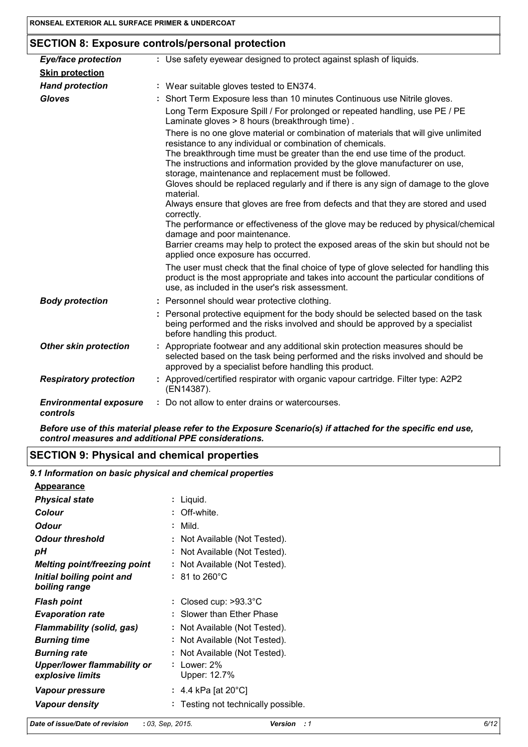## **SECTION 8: Exposure controls/personal protection**

| <b>Eye/face protection</b>                | : Use safety eyewear designed to protect against splash of liquids.                                                                                                                                                             |
|-------------------------------------------|---------------------------------------------------------------------------------------------------------------------------------------------------------------------------------------------------------------------------------|
| <b>Skin protection</b>                    |                                                                                                                                                                                                                                 |
| <b>Hand protection</b>                    | : Wear suitable gloves tested to EN374.                                                                                                                                                                                         |
| <b>Gloves</b>                             | : Short Term Exposure less than 10 minutes Continuous use Nitrile gloves.                                                                                                                                                       |
|                                           | Long Term Exposure Spill / For prolonged or repeated handling, use PE / PE<br>Laminate gloves > 8 hours (breakthrough time).                                                                                                    |
|                                           | There is no one glove material or combination of materials that will give unlimited<br>resistance to any individual or combination of chemicals.                                                                                |
|                                           | The breakthrough time must be greater than the end use time of the product.<br>The instructions and information provided by the glove manufacturer on use,<br>storage, maintenance and replacement must be followed.            |
|                                           | Gloves should be replaced regularly and if there is any sign of damage to the glove<br>material.                                                                                                                                |
|                                           | Always ensure that gloves are free from defects and that they are stored and used<br>correctly.                                                                                                                                 |
|                                           | The performance or effectiveness of the glove may be reduced by physical/chemica<br>damage and poor maintenance.                                                                                                                |
|                                           | Barrier creams may help to protect the exposed areas of the skin but should not be<br>applied once exposure has occurred.                                                                                                       |
|                                           | The user must check that the final choice of type of glove selected for handling this<br>product is the most appropriate and takes into account the particular conditions of<br>use, as included in the user's risk assessment. |
| <b>Body protection</b>                    | : Personnel should wear protective clothing.                                                                                                                                                                                    |
|                                           | : Personal protective equipment for the body should be selected based on the task<br>being performed and the risks involved and should be approved by a specialist<br>before handling this product.                             |
| <b>Other skin protection</b>              | Appropriate footwear and any additional skin protection measures should be<br>selected based on the task being performed and the risks involved and should be<br>approved by a specialist before handling this product.         |
| <b>Respiratory protection</b>             | : Approved/certified respirator with organic vapour cartridge. Filter type: A2P2<br>(EN14387).                                                                                                                                  |
| <b>Environmental exposure</b><br>controls | : Do not allow to enter drains or watercourses.                                                                                                                                                                                 |

Before use of this material please refer to the Exposure Scenario(s) if attached for the specific end use, control measures and additional PPE considerations.

## **SECTION 9: Physical and chemical properties**

9.1 Information on basic physical and chemical properties

| <u>Appearance</u>                  |                                  |
|------------------------------------|----------------------------------|
| <b>Physical state</b>              | : Liquid.                        |
| Colour                             | : Off-white                      |
| <b>Odour</b>                       | Mild.                            |
| <b>Odour threshold</b>             | : Not Available (Not Tested).    |
| рH                                 | Not Available (Not Tested).      |
| Melting point/freezing point       | Not Available (Not Tested).<br>÷ |
| Initial boiling point and          | $: 81$ to 260 $^{\circ}$ C       |
| boiling range                      |                                  |
| <b>Flash point</b>                 | : Closed cup: $>93.3^{\circ}$ C  |
| <b>Evaporation rate</b>            |                                  |
|                                    | : Slower than Ether Phase        |
| <b>Flammability (solid, gas)</b>   | Not Available (Not Tested).      |
| <b>Burning time</b>                | Not Available (Not Tested).      |
| <b>Burning rate</b>                | Not Available (Not Tested).      |
| <b>Upper/lower flammability or</b> | Lower: 2%                        |
| explosive limits                   | Upper: 12.7%                     |
| Vapour pressure                    | : 4.4 kPa [at 20°C]              |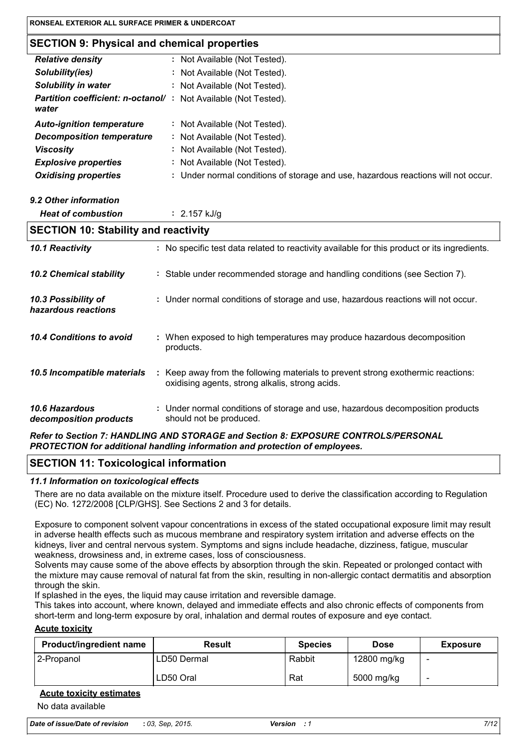## **SECTION 9: Physical and chemical properties**

| <b>Relative density</b>                                                        | : Not Available (Not Tested).                                                     |
|--------------------------------------------------------------------------------|-----------------------------------------------------------------------------------|
| Solubility(ies)                                                                | : Not Available (Not Tested).                                                     |
| <b>Solubility in water</b>                                                     | : Not Available (Not Tested).                                                     |
| <b>Partition coefficient: n-octanol/: Not Available (Not Tested).</b><br>water |                                                                                   |
| <b>Auto-ignition temperature</b>                                               | : Not Available (Not Tested).                                                     |
| <b>Decomposition temperature</b>                                               | : Not Available (Not Tested).                                                     |
| <b>Viscosity</b>                                                               | : Not Available (Not Tested).                                                     |
| <b>Explosive properties</b>                                                    | : Not Available (Not Tested).                                                     |
| <b>Oxidising properties</b>                                                    | : Under normal conditions of storage and use, hazardous reactions will not occur. |
|                                                                                |                                                                                   |

9.2 Other information

**Heat of combustion**  $: 2.157$  kJ/g

| <b>SECTION 10: Stability and reactivity</b> |  |                                                                                                                                     |  |  |
|---------------------------------------------|--|-------------------------------------------------------------------------------------------------------------------------------------|--|--|
| 10.1 Reactivity                             |  | : No specific test data related to reactivity available for this product or its ingredients.                                        |  |  |
| <b>10.2 Chemical stability</b>              |  | : Stable under recommended storage and handling conditions (see Section 7).                                                         |  |  |
| 10.3 Possibility of<br>hazardous reactions  |  | : Under normal conditions of storage and use, hazardous reactions will not occur.                                                   |  |  |
| 10.4 Conditions to avoid                    |  | : When exposed to high temperatures may produce hazardous decomposition<br>products.                                                |  |  |
| 10.5 Incompatible materials                 |  | : Keep away from the following materials to prevent strong exothermic reactions:<br>oxidising agents, strong alkalis, strong acids. |  |  |
| 10.6 Hazardous<br>decomposition products    |  | : Under normal conditions of storage and use, hazardous decomposition products<br>should not be produced.                           |  |  |

Refer to Section 7: HANDLING AND STORAGE and Section 8: EXPOSURE CONTROLS/PERSONAL PROTECTION for additional handling information and protection of employees.

### **SECTION 11: Toxicological information**

#### 11.1 Information on toxicological effects

There are no data available on the mixture itself. Procedure used to derive the classification according to Regulation (EC) No. 1272/2008 [CLP/GHS]. See Sections 2 and 3 for details.

Exposure to component solvent vapour concentrations in excess of the stated occupational exposure limit may result in adverse health effects such as mucous membrane and respiratory system irritation and adverse effects on the kidneys, liver and central nervous system. Symptoms and signs include headache, dizziness, fatigue, muscular weakness, drowsiness and, in extreme cases, loss of consciousness.

Solvents may cause some of the above effects by absorption through the skin. Repeated or prolonged contact with the mixture may cause removal of natural fat from the skin, resulting in non-allergic contact dermatitis and absorption through the skin.

If splashed in the eyes, the liquid may cause irritation and reversible damage.

This takes into account, where known, delayed and immediate effects and also chronic effects of components from short-term and long-term exposure by oral, inhalation and dermal routes of exposure and eye contact.

#### **Acute toxicity**

| <b>Product/ingredient name</b> | <b>Result</b> | <b>Species</b> | <b>Dose</b> | <b>Exposure</b>          |
|--------------------------------|---------------|----------------|-------------|--------------------------|
| 2-Propanol                     | LD50 Dermal   | Rabbit         | 12800 mg/kg | $\overline{\phantom{0}}$ |
|                                | LD50 Oral     | Rat            | 5000 mg/kg  |                          |

#### **Acute toxicity estimates**

No data available

| Date of issue/Date of revision | : 03, Sep, 2015. |
|--------------------------------|------------------|
|--------------------------------|------------------|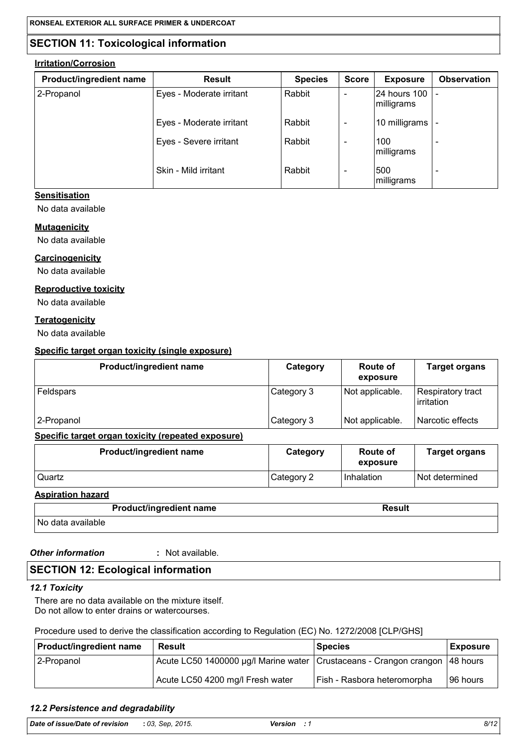## **SECTION 11: Toxicological information**

#### **Irritation/Corrosion**

| Product/ingredient name | <b>Result</b>            | <b>Species</b> | <b>Score</b> | <b>Exposure</b>            | <b>Observation</b> |
|-------------------------|--------------------------|----------------|--------------|----------------------------|--------------------|
| 2-Propanol              | Eyes - Moderate irritant | Rabbit         |              | 24 hours 100<br>milligrams |                    |
|                         | Eyes - Moderate irritant | Rabbit         | -            | 10 milligrams              |                    |
|                         | Eyes - Severe irritant   | Rabbit         | -            | 100<br>milligrams          |                    |
|                         | Skin - Mild irritant     | Rabbit         |              | 500<br>milligrams          |                    |

#### **Sensitisation**

No data available

#### **Mutagenicity**

No data available

#### Carcinogenicity

No data available

#### **Reproductive toxicity**

No data available

#### **Teratogenicity**

No data available

#### Specific target organ toxicity (single exposure)

| Product/ingredient name | Category   | Route of<br>exposure | <b>Target organs</b>            |
|-------------------------|------------|----------------------|---------------------------------|
| Feldspars               | Category 3 | Not applicable.      | Respiratory tract<br>irritation |
| 2-Propanol              | Category 3 | Not applicable.      | Narcotic effects                |

#### Specific target organ toxicity (repeated exposure)

| <b>Product/ingredient name</b> | Category   | Route of<br>exposure | <b>Target organs</b> |
|--------------------------------|------------|----------------------|----------------------|
| Quartz                         | Category 2 | Inhalation           | l Not determined     |

**Aspiration hazard** 

|                   | <b>Product/ingredient name</b> | <b>Result</b> |
|-------------------|--------------------------------|---------------|
| No data available |                                |               |

**Other information** 

: Not available.

## **SECTION 12: Ecological information**

### 12.1 Toxicity

There are no data available on the mixture itself. Do not allow to enter drains or watercourses.

## Procedure used to derive the classification according to Regulation (EC) No. 1272/2008 [CLP/GHS]

| <b>Product/ingredient name</b> | Result                                                                          | <b>Species</b>              | <b>Exposure</b> |
|--------------------------------|---------------------------------------------------------------------------------|-----------------------------|-----------------|
| 2-Propanol                     | Acute LC50 1400000 µg/l Marine water   Crustaceans - Crangon crangon   48 hours |                             |                 |
|                                | Acute LC50 4200 mg/l Fresh water                                                | Fish - Rasbora heteromorpha | 196 hours       |

## 12.2 Persistence and degradability

| Date of issue/Date of revision | : 03. Sep. 2015. | Version | 8/12 |
|--------------------------------|------------------|---------|------|
|                                |                  |         |      |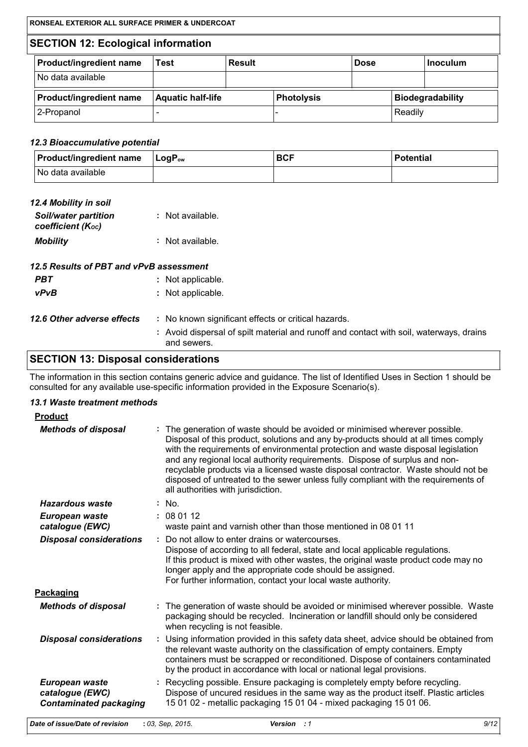## **SECTION 12: Ecological information**

| <b>Product/ingredient name</b> | Test                     | Result |                   | <b>Dose</b> |         | <b>Inoculum</b>  |
|--------------------------------|--------------------------|--------|-------------------|-------------|---------|------------------|
| No data available              |                          |        |                   |             |         |                  |
| <b>Product/ingredient name</b> | <b>Aquatic half-life</b> |        | <b>Photolysis</b> |             |         | Biodegradability |
| 2-Propanol                     |                          |        |                   |             | Readily |                  |

#### 12.3 Bioaccumulative potential

| $\vert$ Product/ingredient name $\vert$ LogP <sub>ow</sub> | <b>BCF</b> | <b>Potential</b> |
|------------------------------------------------------------|------------|------------------|
| No data available                                          |            |                  |

| 12.4 Mobility in soil                            |                  |
|--------------------------------------------------|------------------|
| <b>Soil/water partition</b><br>coefficient (Koc) | : Not available. |
| <b>Mobility</b>                                  | : Not available. |

|     | 12.5 Results of PBT and vPvB assessment |
|-----|-----------------------------------------|
| PBT | : Not applicable.                       |

 $vPvB$ : Not applicable.

| 12.6 Other adverse effects | : No known significant effects or critical hazards. |  |
|----------------------------|-----------------------------------------------------|--|
|                            | .                                                   |  |

: Avoid dispersal of spilt material and runoff and contact with soil, waterways, drains and sewers.

## **SECTION 13: Disposal considerations**

The information in this section contains generic advice and guidance. The list of Identified Uses in Section 1 should be consulted for any available use-specific information provided in the Exposure Scenario(s).

#### 13.1 Waste treatment methods

| <b>Product</b>                                                     |                                                                                                                                                                                                                                                                                                                                                                                                                                                                                                                                                    |
|--------------------------------------------------------------------|----------------------------------------------------------------------------------------------------------------------------------------------------------------------------------------------------------------------------------------------------------------------------------------------------------------------------------------------------------------------------------------------------------------------------------------------------------------------------------------------------------------------------------------------------|
| <b>Methods of disposal</b>                                         | The generation of waste should be avoided or minimised wherever possible.<br>Disposal of this product, solutions and any by-products should at all times comply<br>with the requirements of environmental protection and waste disposal legislation<br>and any regional local authority requirements. Dispose of surplus and non-<br>recyclable products via a licensed waste disposal contractor. Waste should not be<br>disposed of untreated to the sewer unless fully compliant with the requirements of<br>all authorities with jurisdiction. |
| Hazardous waste                                                    | $:$ No.                                                                                                                                                                                                                                                                                                                                                                                                                                                                                                                                            |
| European waste<br>catalogue (EWC)                                  | : 080112<br>waste paint and varnish other than those mentioned in 08 01 11                                                                                                                                                                                                                                                                                                                                                                                                                                                                         |
| <b>Disposal considerations</b>                                     | : Do not allow to enter drains or watercourses.<br>Dispose of according to all federal, state and local applicable regulations.<br>If this product is mixed with other wastes, the original waste product code may no<br>longer apply and the appropriate code should be assigned.<br>For further information, contact your local waste authority.                                                                                                                                                                                                 |
| Packaging                                                          |                                                                                                                                                                                                                                                                                                                                                                                                                                                                                                                                                    |
| <b>Methods of disposal</b>                                         | : The generation of waste should be avoided or minimised wherever possible. Waste<br>packaging should be recycled. Incineration or landfill should only be considered<br>when recycling is not feasible.                                                                                                                                                                                                                                                                                                                                           |
| <b>Disposal considerations</b>                                     | : Using information provided in this safety data sheet, advice should be obtained from<br>the relevant waste authority on the classification of empty containers. Empty<br>containers must be scrapped or reconditioned. Dispose of containers contaminated<br>by the product in accordance with local or national legal provisions.                                                                                                                                                                                                               |
| European waste<br>catalogue (EWC)<br><b>Contaminated packaging</b> | : Recycling possible. Ensure packaging is completely empty before recycling.<br>Dispose of uncured residues in the same way as the product itself. Plastic articles<br>15 01 02 - metallic packaging 15 01 04 - mixed packaging 15 01 06.                                                                                                                                                                                                                                                                                                          |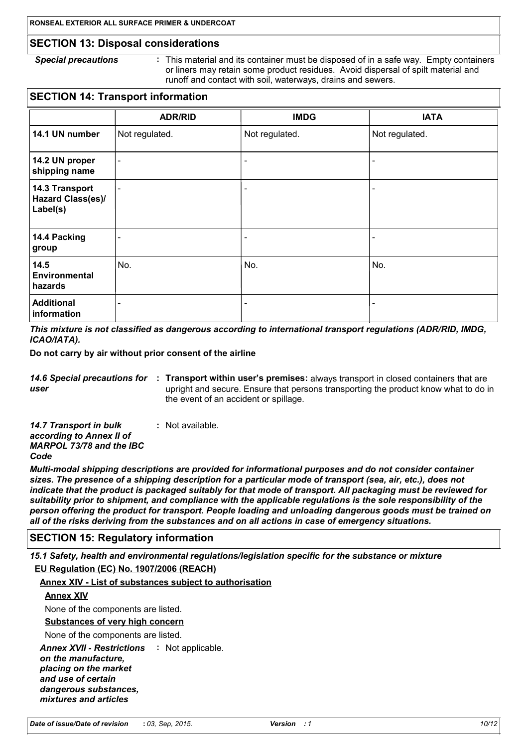### **SECTION 13: Disposal considerations**

```
Special precautions
```
÷ This material and its container must be disposed of in a safe way. Empty containers or liners may retain some product residues. Avoid dispersal of spilt material and runoff and contact with soil, waterways, drains and sewers.

## **SECTION 14: Transport information**

|                                                        | <b>ADR/RID</b>           | <b>IMDG</b>              | <b>IATA</b>    |
|--------------------------------------------------------|--------------------------|--------------------------|----------------|
| 14.1 UN number                                         | Not regulated.           | Not regulated.           | Not regulated. |
| 14.2 UN proper<br>shipping name                        | $\overline{\phantom{a}}$ | $\overline{\phantom{a}}$ |                |
| 14.3 Transport<br><b>Hazard Class(es)/</b><br>Label(s) | $\overline{\phantom{a}}$ | $\overline{\phantom{a}}$ |                |
| 14.4 Packing<br>group                                  | $\blacksquare$           | $\overline{\phantom{a}}$ |                |
| 14.5<br>Environmental<br>hazards                       | No.                      | No.                      | No.            |
| <b>Additional</b><br>information                       | $\overline{\phantom{a}}$ | ۰                        | -              |

This mixture is not classified as dangerous according to international transport regulations (ADR/RID, IMDG, ICAO/IATA).

Do not carry by air without prior consent of the airline

14.6 Special precautions for : Transport within user's premises: always transport in closed containers that are user upright and secure. Ensure that persons transporting the product know what to do in the event of an accident or spillage.

14.7 Transport in bulk : Not available. according to Annex II of **MARPOL 73/78 and the IBC** Code

Multi-modal shipping descriptions are provided for informational purposes and do not consider container sizes. The presence of a shipping description for a particular mode of transport (sea, air, etc.), does not indicate that the product is packaged suitably for that mode of transport. All packaging must be reviewed for suitability prior to shipment, and compliance with the applicable requlations is the sole responsibility of the person offering the product for transport. People loading and unloading dangerous goods must be trained on all of the risks deriving from the substances and on all actions in case of emergency situations.

### **SECTION 15: Regulatory information**

15.1 Safety, health and environmental regulations/legislation specific for the substance or mixture

#### EU Regulation (EC) No. 1907/2006 (REACH)

#### Annex XIV - List of substances subject to authorisation

#### **Annex XIV**

None of the components are listed.

Substances of very high concern

None of the components are listed.

**Annex XVII - Restrictions : Not applicable.** 

on the manufacture. placing on the market and use of certain dangerous substances. mixtures and articles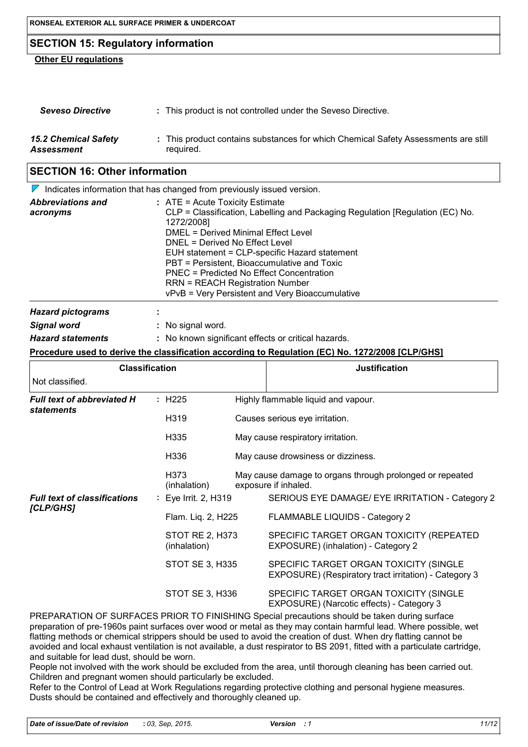## **SECTION 15: Regulatory information**

### **Other EU regulations**

| <b>Seveso Directive</b>     | : This product is not controlled under the Seveso Directive.                       |
|-----------------------------|------------------------------------------------------------------------------------|
| <b>15.2 Chemical Safety</b> | : This product contains substances for which Chemical Safety Assessments are still |
| Assessment                  | required.                                                                          |

## **SECTION 16: Other information**

|                                      | $\triangleright$ Indicates information that has changed from previously issued version.                                                                                                                                                                                                                                                                                                                                                            |
|--------------------------------------|----------------------------------------------------------------------------------------------------------------------------------------------------------------------------------------------------------------------------------------------------------------------------------------------------------------------------------------------------------------------------------------------------------------------------------------------------|
| <b>Abbreviations and</b><br>acronyms | $:$ ATE = Acute Toxicity Estimate<br>CLP = Classification, Labelling and Packaging Regulation [Regulation (EC) No.<br>1272/2008]<br>DMEL = Derived Minimal Effect Level<br>DNEL = Derived No Effect Level<br>EUH statement = CLP-specific Hazard statement<br>PBT = Persistent, Bioaccumulative and Toxic<br>PNEC = Predicted No Effect Concentration<br><b>RRN = REACH Registration Number</b><br>vPvB = Very Persistent and Very Bioaccumulative |
| <b>Hazard pictograms</b>             |                                                                                                                                                                                                                                                                                                                                                                                                                                                    |
| Signal word                          | : No signal word.                                                                                                                                                                                                                                                                                                                                                                                                                                  |

| <b>Hazard statements</b> | : No known significant effects or critical hazards |
|--------------------------|----------------------------------------------------|
|--------------------------|----------------------------------------------------|

#### Procedure used to derive the classification according to Regulation (EC) No. 1272/2008 [CLP/GHS]

| <b>Classification</b>                                  |                                  |  | <b>Justification</b>                                                                            |  |
|--------------------------------------------------------|----------------------------------|--|-------------------------------------------------------------------------------------------------|--|
| Not classified.                                        |                                  |  |                                                                                                 |  |
| <b>Full text of abbreviated H</b><br><b>statements</b> | : H225                           |  | Highly flammable liquid and vapour.                                                             |  |
|                                                        | H <sub>3</sub> 19                |  | Causes serious eye irritation.                                                                  |  |
|                                                        | H <sub>335</sub>                 |  | May cause respiratory irritation.                                                               |  |
|                                                        | H336                             |  | May cause drowsiness or dizziness.                                                              |  |
|                                                        | H <sub>373</sub><br>(inhalation) |  | May cause damage to organs through prolonged or repeated<br>exposure if inhaled.                |  |
| <b>Full text of classifications</b><br>[CLP/GHS]       | : Eye Irrit. 2, H319             |  | SERIOUS EYE DAMAGE/ EYE IRRITATION - Category 2                                                 |  |
|                                                        | Flam. Liq. 2, H225               |  | FLAMMABLE LIQUIDS - Category 2                                                                  |  |
|                                                        | STOT RE 2, H373<br>(inhalation)  |  | SPECIFIC TARGET ORGAN TOXICITY (REPEATED<br>EXPOSURE) (inhalation) - Category 2                 |  |
|                                                        | <b>STOT SE 3, H335</b>           |  | SPECIFIC TARGET ORGAN TOXICITY (SINGLE<br>EXPOSURE) (Respiratory tract irritation) - Category 3 |  |
|                                                        | STOT SE 3, H336                  |  | SPECIFIC TARGET ORGAN TOXICITY (SINGLE<br>EXPOSURE) (Narcotic effects) - Category 3             |  |
|                                                        |                                  |  | DDEDADATION OF CUDEACER DDIOD TO FINIRUING Reagial argaeutiona abould be taken during ourfase   |  |

PREPARATION OF SURFACES PRIOR TO FINISHING Special precautions should be taken during surface preparation of pre-1960s paint surfaces over wood or metal as they may contain harmful lead. Where possible, wet flatting methods or chemical strippers should be used to avoid the creation of dust. When dry flatting cannot be avoided and local exhaust ventilation is not available, a dust respirator to BS 2091, fitted with a particulate cartridge, and suitable for lead dust, should be worn.

People not involved with the work should be excluded from the area, until thorough cleaning has been carried out. Children and pregnant women should particularly be excluded.

Refer to the Control of Lead at Work Regulations regarding protective clothing and personal hygiene measures. Dusts should be contained and effectively and thoroughly cleaned up.